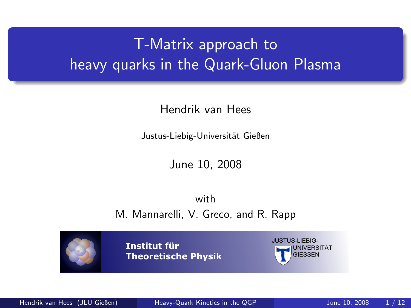# T-Matrix approach to heavy quarks in the Quark-Gluon Plasma

Hendrik van Hees

Justus-Liebig-Universität Gießen

<span id="page-0-0"></span>June 10, 2008

with M. Mannarelli, V. Greco, and R. Rapp

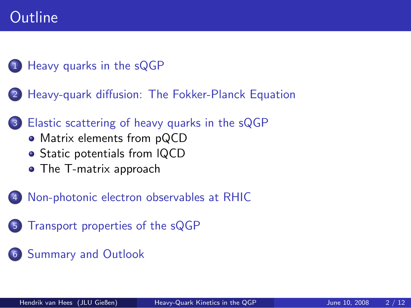## **Outline**

#### 1 [Heavy quarks in the sQGP](#page-2-0)

- 2 [Heavy-quark diffusion: The Fokker-Planck Equation](#page-3-0)
- [Elastic scattering of heavy quarks in the sQGP](#page-4-0)
	- [Matrix elements from pQCD](#page-4-0)
	- Static potentials from IQCD
	- [The T-matrix approach](#page-6-0)
- [Non-photonic electron observables at RHIC](#page-9-0)
- 5 [Transport properties of the sQGP](#page-10-0)
- [Summary and Outlook](#page-11-0)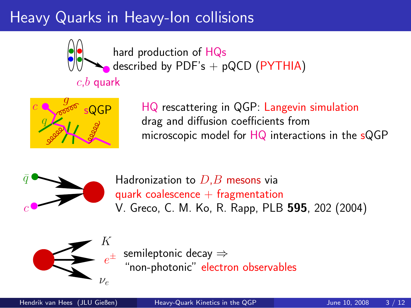# Heavy Quarks in Heavy-Ion collisions



 $c,b$  quark

hard production of HQs described by PDF's  $+$  pQCD (PYTHIA)



HQ rescattering in QGP: Langevin simulation drag and diffusion coefficients from microscopic model for HQ interactions in the sQGP



Hadronization to  $D,B$  mesons via quark coalescence  $+$  fragmentation V. Greco, C. M. Ko, R. Rapp, PLB 595, 202 (2004)



<span id="page-2-0"></span>semileptonic decay ⇒ "non-photonic" electron observables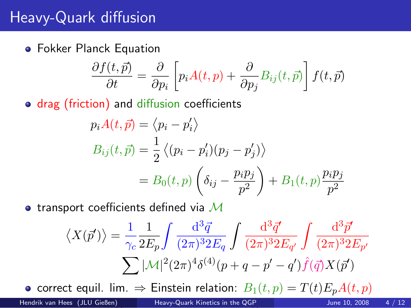## Heavy-Quark diffusion

Fokker Planck Equation

$$
\frac{\partial f(t,\vec{p})}{\partial t} = \frac{\partial}{\partial p_i} \left[ p_i A(t,p) + \frac{\partial}{\partial p_j} B_{ij}(t,\vec{p}) \right] f(t,\vec{p})
$$

• drag (friction) and diffusion coefficients

$$
p_i A(t, \vec{p}) = \langle p_i - p'_i \rangle
$$
  
\n
$$
B_{ij}(t, \vec{p}) = \frac{1}{2} \langle (p_i - p'_i)(p_j - p'_j) \rangle
$$
  
\n
$$
= B_0(t, p) \left( \delta_{ij} - \frac{p_i p_j}{p^2} \right) + B_1(t, p) \frac{p_i p_j}{p^2}
$$

• transport coefficients defined via  $\mathcal M$ 

<span id="page-3-0"></span>
$$
\langle X(\vec{p}') \rangle = \frac{1}{\gamma_c} \frac{1}{2E_p} \int \frac{d^3 \vec{q}}{(2\pi)^3 2E_q} \int \frac{d^3 \vec{q}'}{(2\pi)^3 2E_{q'}} \int \frac{d^3 \vec{p}'}{(2\pi)^3 2E_{p'}}
$$

$$
\sum |\mathcal{M}|^2 (2\pi)^4 \delta^{(4)}(p+q-p'-q') \hat{f}(\vec{q}) X(\vec{p}')
$$

• correct equil. lim.  $\Rightarrow$  Einstein relation:  $B_1(t,p) = T(t)E_pA(t,p)$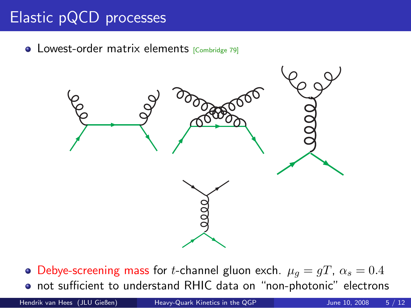# Elastic pQCD processes

• Lowest-order matrix elements [Combridge 79]



<span id="page-4-0"></span>• Debye-screening mass for *t*-channel gluon exch.  $\mu_g = gT$ ,  $\alpha_s = 0.4$ not sufficient to understand RHIC data on "non-photonic" electrons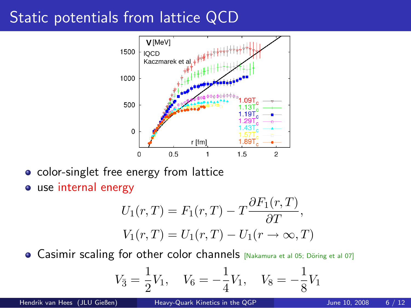## Static potentials from lattice QCD



- color-singlet free energy from lattice
- use internal energy

$$
U_1(r,T) = F_1(r,T) - T \frac{\partial F_1(r,T)}{\partial T},
$$
  
 
$$
V_1(r,T) = U_1(r,T) - U_1(r \to \infty, T)
$$

**• Casimir scaling for other color channels**  $N$   $\alpha$   $\alpha$   $\beta$   $\beta$   $\beta$   $\alpha$   $\beta$   $\beta$   $\beta$   $\alpha$   $\beta$   $\beta$ 

<span id="page-5-0"></span>
$$
V_{\bar{3}} = \frac{1}{2}V_1
$$
,  $V_6 = -\frac{1}{4}V_1$ ,  $V_8 = -\frac{1}{8}V_1$ 

Hendrik van Hees (JLU Gießen) [Heavy-Quark Kinetics in the QGP](#page-0-0) June 10, 2008 6 / 12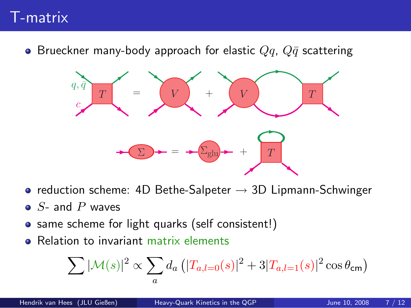### T-matrix

• Brueckner many-body approach for elastic  $Qq$ ,  $Q\bar{q}$  scattering



- reduction scheme: 4D Bethe-Salpeter  $\rightarrow$  3D Lipmann-Schwinger
- $\bullet$  S- and P waves
- same scheme for light quarks (self consistent!)
- Relation to invariant matrix elements

<span id="page-6-0"></span>
$$
\sum |\mathcal{M}(s)|^2 \propto \sum_a d_a \left( |T_{a,l=0}(s)|^2 + 3 |T_{a,l=1}(s)|^2 \cos \theta_{\rm cm} \right)
$$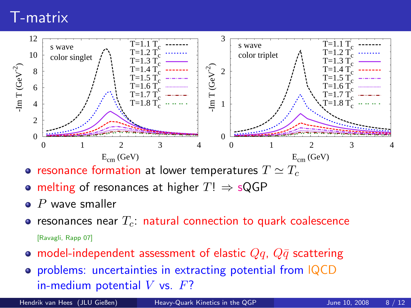### T-matrix



- resonance formation at lower temperatures  $T \simeq T_c$
- melting of resonances at higher  $T! \Rightarrow sQGP$
- $\bullet$  P wave smaller
- resonances near  $T_c$ : natural connection to quark coalescence [Ravagli, Rapp 07]
- model-independent assessment of elastic  $Qq$ ,  $Q\bar{q}$  scattering
- problems: uncertainties in extracting potential from lQCD in-medium potential  $V$  vs.  $F$ ?

Hendrik van Hees (JLU Gießen) [Heavy-Quark Kinetics in the QGP](#page-0-0) June 10, 2008 8 / 12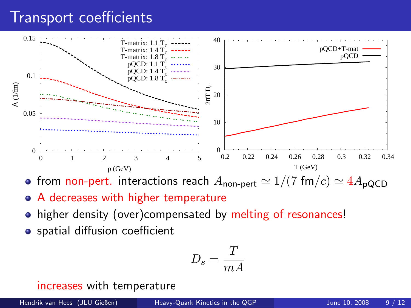### Transport coefficients



• from non-pert. interactions reach  $A_{\text{non-pert}} \simeq 1/(7 \text{ fm}/c) \simeq 4A_{\text{pQCD}}$ 

- A decreases with higher temperature
- higher density (over)compensated by melting of resonances!
- **•** spatial diffusion coefficient

$$
D_s = \frac{T}{mA}
$$

increases with temperature

Hendrik van Hees (JLU Gießen) [Heavy-Quark Kinetics in the QGP](#page-0-0) June 10, 2008 9 / 12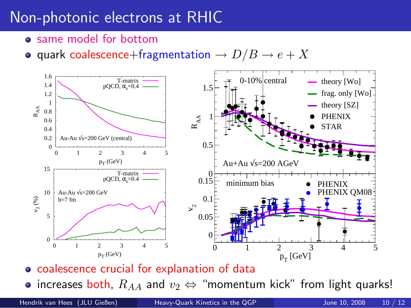# Non-photonic electrons at RHIC

- same model for bottom
- quark coalescence+fragmentation  $\rightarrow D/B \rightarrow e + X$



• coalescence crucial for explanation of data

<span id="page-9-0"></span>• increases both,  $R_{AA}$  and  $v_2 \Leftrightarrow$  "momentum kick" from light quarks!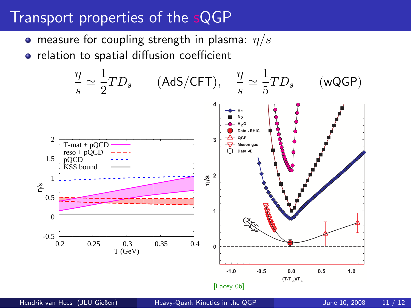### Transport properties of the sQGP

- **•** measure for coupling strength in plasma:  $\eta/s$
- **•** relation to spatial diffusion coefficient

<span id="page-10-0"></span>